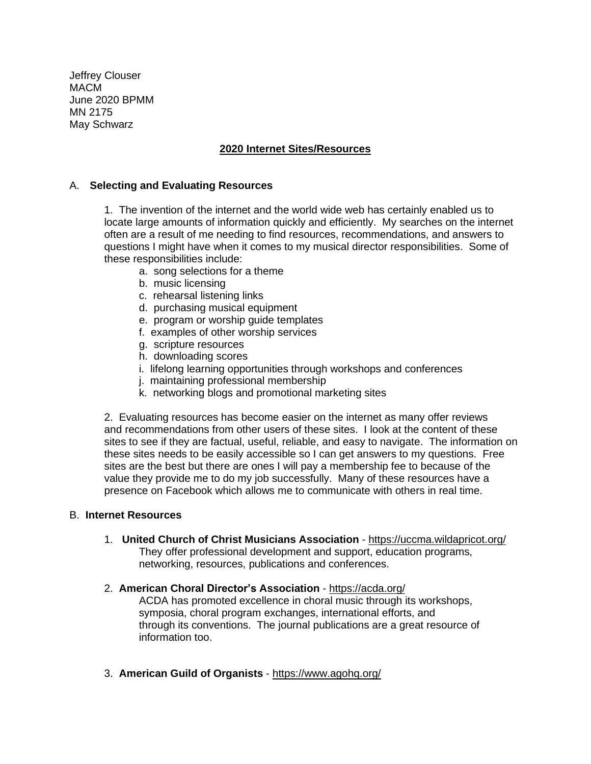Jeffrey Clouser MACM June 2020 BPMM MN 2175 May Schwarz

# **2020 Internet Sites/Resources**

## A. **Selecting and Evaluating Resources**

1. The invention of the internet and the world wide web has certainly enabled us to locate large amounts of information quickly and efficiently. My searches on the internet often are a result of me needing to find resources, recommendations, and answers to questions I might have when it comes to my musical director responsibilities. Some of these responsibilities include:

- a. song selections for a theme
- b. music licensing
- c. rehearsal listening links
- d. purchasing musical equipment
- e. program or worship guide templates
- f. examples of other worship services
- g. scripture resources
- h. downloading scores
- i. lifelong learning opportunities through workshops and conferences
- j. maintaining professional membership
- k. networking blogs and promotional marketing sites

2. Evaluating resources has become easier on the internet as many offer reviews and recommendations from other users of these sites. I look at the content of these sites to see if they are factual, useful, reliable, and easy to navigate. The information on these sites needs to be easily accessible so I can get answers to my questions. Free sites are the best but there are ones I will pay a membership fee to because of the value they provide me to do my job successfully. Many of these resources have a presence on Facebook which allows me to communicate with others in real time.

## B. **Internet Resources**

- 1. **United Church of Christ Musicians Association** <https://uccma.wildapricot.org/> They offer professional development and support, education programs, networking, resources, publications and conferences.
- 2. **American Choral Director's Association** <https://acda.org/> ACDA has promoted excellence in choral music through its workshops, symposia, choral program exchanges, international efforts, and through its conventions. The journal publications are a great resource of information too.
- 3. **American Guild of Organists** <https://www.agohq.org/>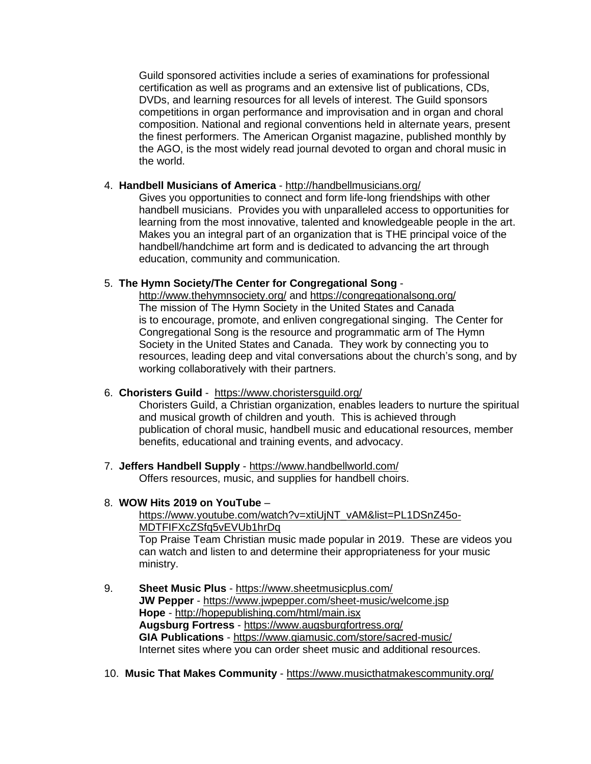Guild sponsored activities include a series of examinations for professional certification as well as programs and an extensive list of publications, CDs, DVDs, and learning resources for all levels of interest. The Guild sponsors competitions in organ performance and improvisation and in organ and choral composition. National and regional conventions held in alternate years, present the finest performers. The American Organist magazine, published monthly by the AGO, is the most widely read journal devoted to organ and choral music in the world.

## 4. **Handbell Musicians of America** - <http://handbellmusicians.org/>

Gives you opportunities to connect and form life-long friendships with other handbell musicians. Provides you with unparalleled access to opportunities for learning from the most innovative, talented and knowledgeable people in the art. Makes you an integral part of an organization that is THE principal voice of the handbell/handchime art form and is dedicated to advancing the art through education, community and communication.

# 5. **The Hymn Society/The Center for Congregational Song** -

<http://www.thehymnsociety.org/> and <https://congregationalsong.org/> The mission of The Hymn Society in the United States and Canada is to encourage, promote, and enliven congregational singing. The Center for Congregational Song is the resource and programmatic arm of The Hymn Society in the United States and Canada. They work by connecting you to resources, leading deep and vital conversations about the church's song, and by working collaboratively with their partners.

# 6. **Choristers Guild** - <https://www.choristersguild.org/>

Choristers Guild, a Christian organization, enables leaders to nurture the spiritual and musical growth of children and youth. This is achieved through publication of choral music, handbell music and educational resources, member benefits, educational and training events, and advocacy.

7. **Jeffers Handbell Supply** - <https://www.handbellworld.com/> Offers resources, music, and supplies for handbell choirs.

# 8. **WOW Hits 2019 on YouTube** –

[https://www.youtube.com/watch?v=xtiUjNT\\_vAM&list=PL1DSnZ45o-](https://www.youtube.com/watch?v=xtiUjNT_vAM&list=PL1DSnZ45o-%20MDTFIFXcZSfq5vEVUb1hrDq)[MDTFIFXcZSfq5vEVUb1hrDq](https://www.youtube.com/watch?v=xtiUjNT_vAM&list=PL1DSnZ45o-%20MDTFIFXcZSfq5vEVUb1hrDq) 

Top Praise Team Christian music made popular in 2019. These are videos you can watch and listen to and determine their appropriateness for your music ministry.

- 9. **Sheet Music Plus** <https://www.sheetmusicplus.com/> **JW Pepper** - <https://www.jwpepper.com/sheet-music/welcome.jsp> **Hope** - <http://hopepublishing.com/html/main.isx> **Augsburg Fortress** - <https://www.augsburgfortress.org/> **GIA Publications** - <https://www.giamusic.com/store/sacred-music/> Internet sites where you can order sheet music and additional resources.
- 10. **Music That Makes Community** <https://www.musicthatmakescommunity.org/>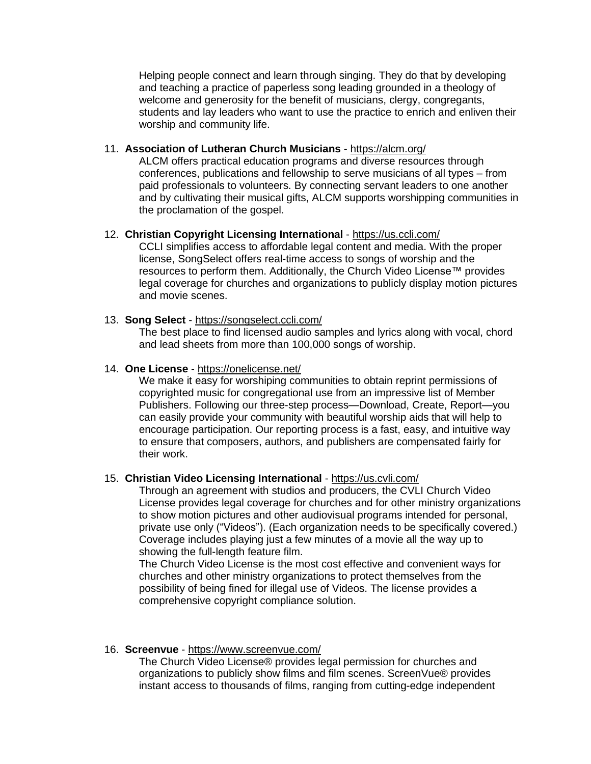Helping people connect and learn through singing. They do that by developing and teaching a practice of paperless song leading grounded in a theology of welcome and generosity for the benefit of musicians, clergy, congregants, students and lay leaders who want to use the practice to enrich and enliven their worship and community life.

## 11. **Association of Lutheran Church Musicians** - <https://alcm.org/>

ALCM offers practical education programs and diverse resources through conferences, publications and fellowship to serve musicians of all types – from paid professionals to volunteers. By connecting servant leaders to one another and by cultivating their musical gifts, ALCM supports worshipping communities in the proclamation of the gospel.

#### 12. **Christian Copyright Licensing International** - <https://us.ccli.com/>

CCLI simplifies access to affordable legal content and media. With the proper license, SongSelect offers real-time access to songs of worship and the resources to perform them. Additionally, the Church Video License™ provides legal coverage for churches and organizations to publicly display motion pictures and movie scenes.

## 13. **Song Select** - <https://songselect.ccli.com/>

The best place to find licensed audio samples and lyrics along with vocal, chord and lead sheets from more than 100,000 songs of worship.

#### 14. **One License** - <https://onelicense.net/>

We make it easy for worshiping communities to obtain reprint permissions of copyrighted music for congregational use from an impressive list of Member Publishers. Following our three-step process—Download, Create, Report—you can easily provide your community with beautiful worship aids that will help to encourage participation. Our reporting process is a fast, easy, and intuitive way to ensure that composers, authors, and publishers are compensated fairly for their work.

## 15. **Christian Video Licensing International** - <https://us.cvli.com/>

Through an agreement with studios and producers, the CVLI Church Video License provides legal coverage for churches and for other ministry organizations to show motion pictures and other audiovisual programs intended for personal, private use only ("Videos"). (Each organization needs to be specifically covered.) Coverage includes playing just a few minutes of a movie all the way up to showing the full-length feature film.

The Church Video License is the most cost effective and convenient ways for churches and other ministry organizations to protect themselves from the possibility of being fined for illegal use of Videos. The license provides a comprehensive copyright compliance solution.

#### 16. **Screenvue** - <https://www.screenvue.com/>

The Church Video License® provides legal permission for churches and organizations to publicly show films and film scenes. ScreenVue® provides instant access to thousands of films, ranging from cutting-edge independent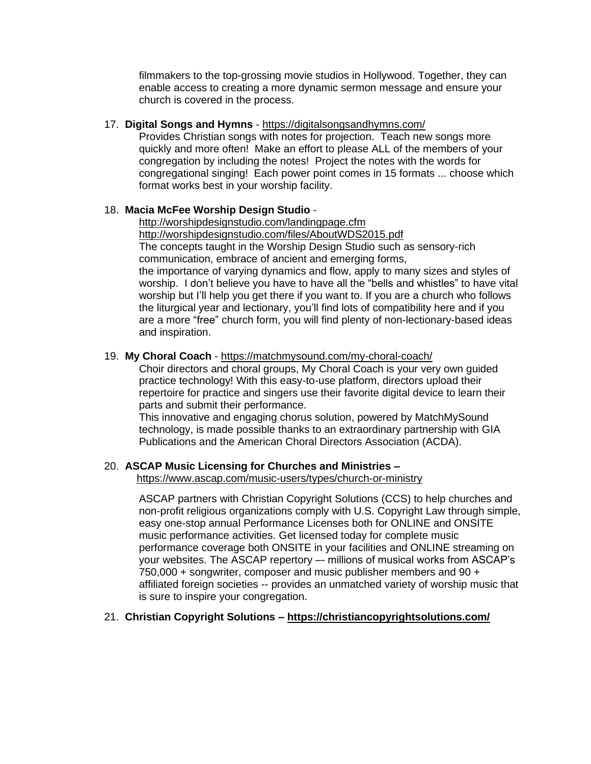filmmakers to the top-grossing movie studios in Hollywood. Together, they can enable access to creating a more dynamic sermon message and ensure your church is covered in the process.

## 17. **Digital Songs and Hymns** - <https://digitalsongsandhymns.com/>

Provides Christian songs with notes for projection. Teach new songs more quickly and more often! Make an effort to please ALL of the members of your congregation by including the notes! Project the notes with the words for congregational singing! Each power point comes in 15 formats ... choose which format works best in your worship facility.

# 18. **Macia McFee Worship Design Studio** -

<http://worshipdesignstudio.com/landingpage.cfm> <http://worshipdesignstudio.com/files/AboutWDS2015.pdf> The concepts taught in the Worship Design Studio such as sensory-rich communication, embrace of ancient and emerging forms, the importance of varying dynamics and flow, apply to many sizes and styles of worship. I don't believe you have to have all the "bells and whistles" to have vital worship but I'll help you get there if you want to. If you are a church who follows the liturgical year and lectionary, you'll find lots of compatibility here and if you are a more "free" church form, you will find plenty of non-lectionary-based ideas and inspiration.

## 19. **My Choral Coach** - <https://matchmysound.com/my-choral-coach/>

Choir directors and choral groups, My Choral Coach is your very own guided practice technology! With this easy-to-use platform, directors upload their repertoire for practice and singers use their favorite digital device to learn their parts and submit their performance.

This innovative and engaging chorus solution, powered by MatchMySound technology, is made possible thanks to an extraordinary partnership with GIA Publications and the American Choral Directors Association (ACDA).

# 20. **ASCAP Music Licensing for Churches and Ministries –**

<https://www.ascap.com/music-users/types/church-or-ministry>

ASCAP partners with Christian Copyright Solutions (CCS) to help churches and non-profit religious organizations comply with U.S. Copyright Law through simple, easy one-stop annual Performance Licenses both for ONLINE and ONSITE music performance activities. Get licensed today for complete music performance coverage both ONSITE in your facilities and ONLINE streaming on your websites. The ASCAP repertory –- millions of musical works from ASCAP's 750,000 + songwriter, composer and music publisher members and 90 + affiliated foreign societies -- provides an unmatched variety of worship music that is sure to inspire your congregation.

# 21. **Christian Copyright Solutions – <https://christiancopyrightsolutions.com/>**